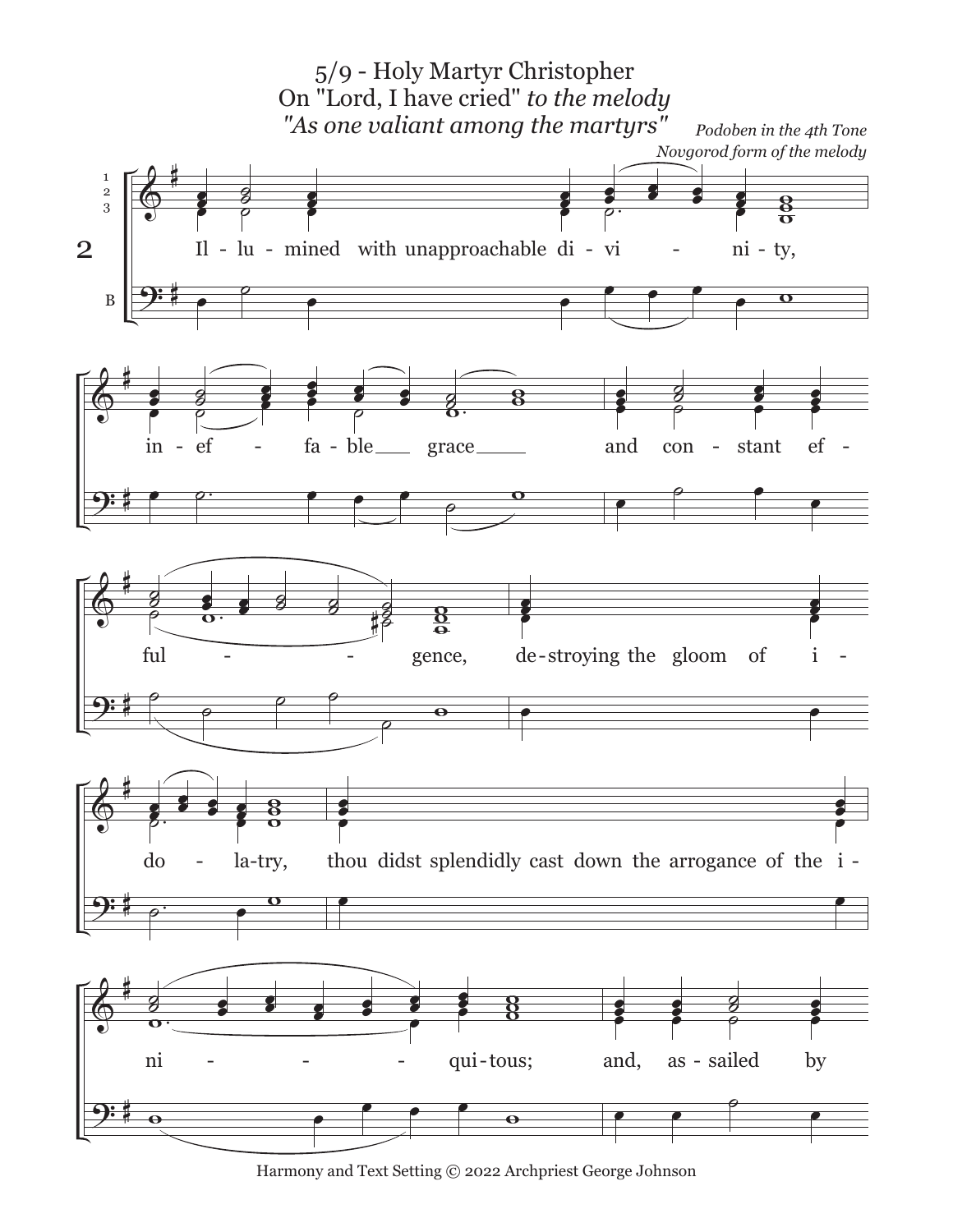

Harmony and Text Setting © 2022 Archpriest George Johnson